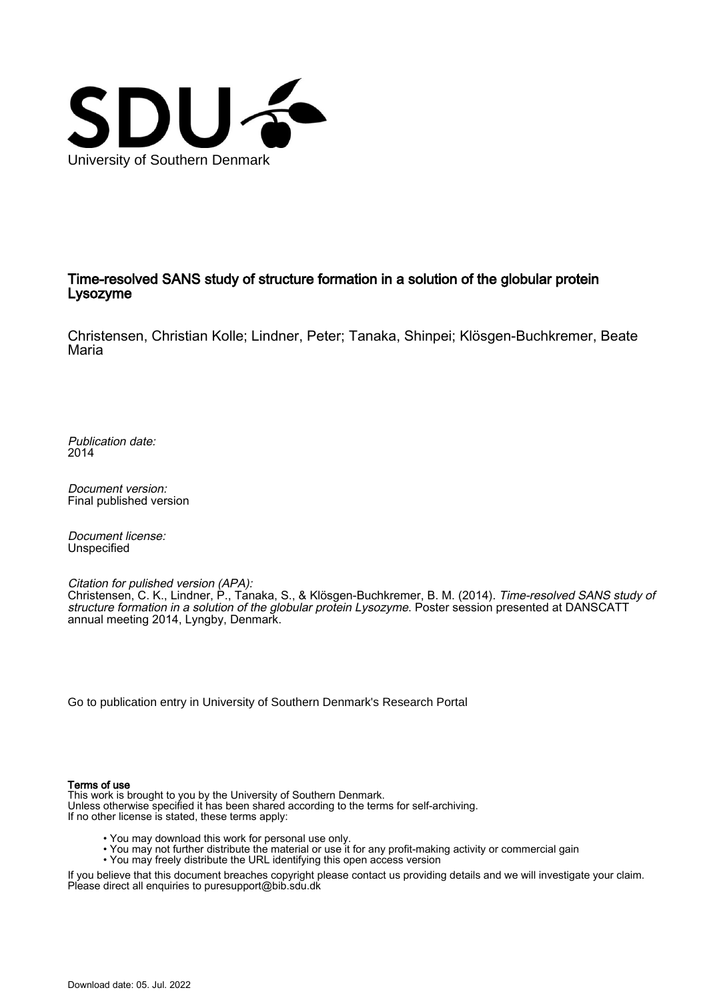

#### Time-resolved SANS study of structure formation in a solution of the globular protein Lysozyme

Christensen, Christian Kolle; Lindner, Peter; Tanaka, Shinpei; Klösgen-Buchkremer, Beate Maria

Publication date: 2014

Document version: Final published version

Document license: Unspecified

Citation for pulished version (APA):

Christensen, C. K., Lindner, P., Tanaka, S., & Klösgen-Buchkremer, B. M. (2014). Time-resolved SANS study of structure formation in a solution of the globular protein Lysozyme. Poster session presented at DANSCATT annual meeting 2014, Lyngby, Denmark.

[Go to publication entry in University of Southern Denmark's Research Portal](https://portal.findresearcher.sdu.dk/en/publications/4671e509-0a9e-4849-92a4-2a67ee7556b6)

#### Terms of use

This work is brought to you by the University of Southern Denmark. Unless otherwise specified it has been shared according to the terms for self-archiving. If no other license is stated, these terms apply:

- You may download this work for personal use only.
- You may not further distribute the material or use it for any profit-making activity or commercial gain
- You may freely distribute the URL identifying this open access version

If you believe that this document breaches copyright please contact us providing details and we will investigate your claim. Please direct all enquiries to puresupport@bib.sdu.dk